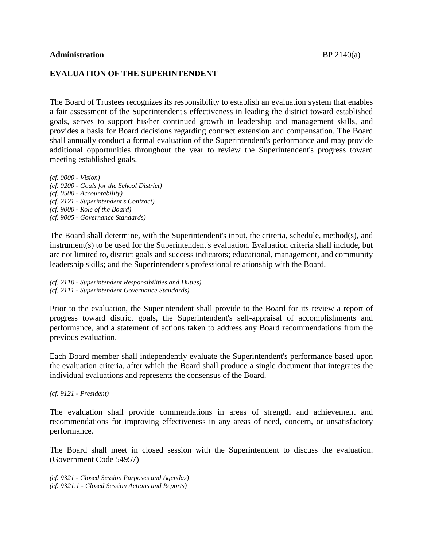## **Administration** BP 2140(a)

## **EVALUATION OF THE SUPERINTENDENT**

The Board of Trustees recognizes its responsibility to establish an evaluation system that enables a fair assessment of the Superintendent's effectiveness in leading the district toward established goals, serves to support his/her continued growth in leadership and management skills, and provides a basis for Board decisions regarding contract extension and compensation. The Board shall annually conduct a formal evaluation of the Superintendent's performance and may provide additional opportunities throughout the year to review the Superintendent's progress toward meeting established goals.

*(cf. 0000 - Vision) (cf. 0200 - Goals for the School District) (cf. 0500 - Accountability) (cf. 2121 - Superintendent's Contract) (cf. 9000 - Role of the Board) (cf. 9005 - Governance Standards)*

The Board shall determine, with the Superintendent's input, the criteria, schedule, method(s), and instrument(s) to be used for the Superintendent's evaluation. Evaluation criteria shall include, but are not limited to, district goals and success indicators; educational, management, and community leadership skills; and the Superintendent's professional relationship with the Board.

*(cf. 2110 - Superintendent Responsibilities and Duties) (cf. 2111 - Superintendent Governance Standards)*

Prior to the evaluation, the Superintendent shall provide to the Board for its review a report of progress toward district goals, the Superintendent's self-appraisal of accomplishments and performance, and a statement of actions taken to address any Board recommendations from the previous evaluation.

Each Board member shall independently evaluate the Superintendent's performance based upon the evaluation criteria, after which the Board shall produce a single document that integrates the individual evaluations and represents the consensus of the Board.

## *(cf. 9121 - President)*

The evaluation shall provide commendations in areas of strength and achievement and recommendations for improving effectiveness in any areas of need, concern, or unsatisfactory performance.

The Board shall meet in closed session with the Superintendent to discuss the evaluation. (Government Code 54957)

*(cf. 9321 - Closed Session Purposes and Agendas) (cf. 9321.1 - Closed Session Actions and Reports)*